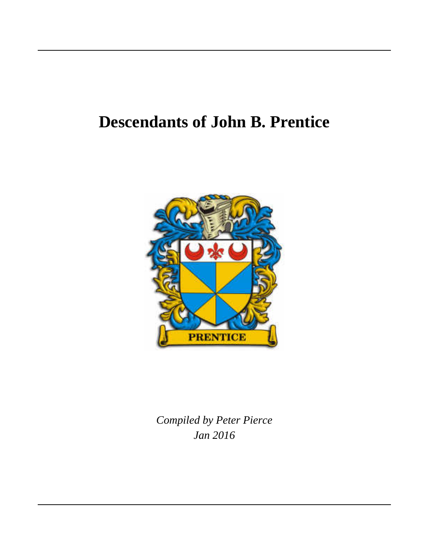# **Descendants of John B. Prentice**



*Jan 2016 Compiled by Peter Pierce*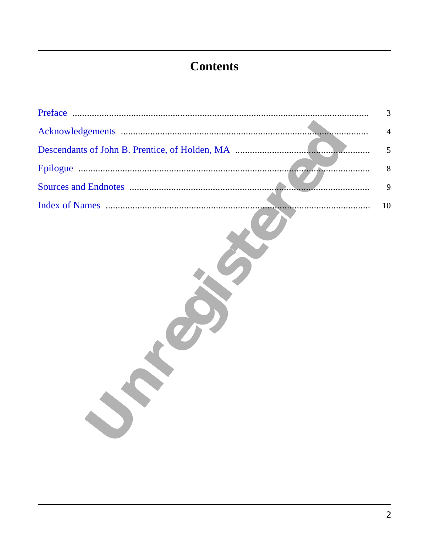## **Contents**

| Preface                                        | 3  |
|------------------------------------------------|----|
|                                                | 4  |
| Descendants of John B. Prentice, of Holden, MA | 5  |
|                                                | 8  |
|                                                | 9  |
|                                                | 10 |
|                                                |    |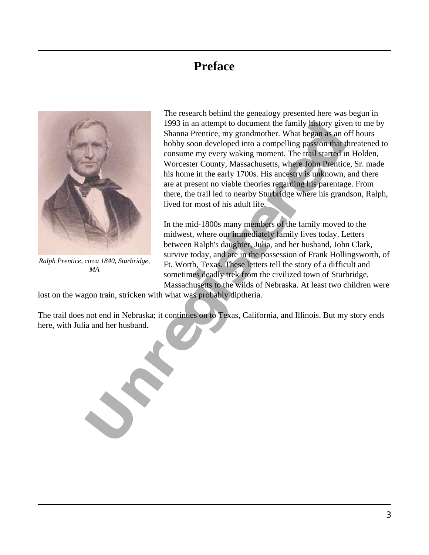#### **Preface**

<span id="page-2-0"></span>

*Ralph Prentice, circa 1840, Sturbridge, MA*

1993 in an altempt to document the family passers of the state of the scheme term of the booty soon developed into a compelling passion that three consumer weever would be the term of the term of the successive of the sime The research behind the genealogy presented here was begun in 1993 in an attempt to document the family history given to me by Shanna Prentice, my grandmother. What began as an off hours hobby soon developed into a compelling passion that threatened to consume my every waking moment. The trail started in Holden, Worcester County, Massachusetts, where John Prentice, Sr. made his home in the early 1700s. His ancestry is unknown, and there are at present no viable theories regarding his parentage. From there, the trail led to nearby Sturbridge where his grandson, Ralph, lived for most of his adult life.

In the mid-1800s many members of the family moved to the midwest, where our immediately family lives today. Letters between Ralph's daughter, Julia, and her husband, John Clark, survive today, and are in the possession of Frank Hollingsworth, of Ft. Worth, Texas. These letters tell the story of a difficult and sometimes deadly trek from the civilized town of Sturbridge, Massachusetts to the wilds of Nebraska. At least two children were

lost on the wagon train, stricken with what was probably diptheria.

The trail does not end in Nebraska; it continues on to Texas, California, and Illinois. But my story ends here, with Julia and her husband.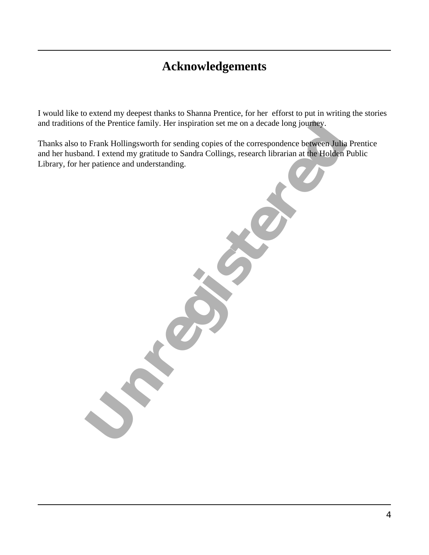#### **Acknowledgements**

<span id="page-3-0"></span>I would like to extend my deepest thanks to Shanna Prentice, for her efforst to put in writing the stories and traditions of the Prentice family. Her inspiration set me on a decade long journey.

of the Prentice family. Her inspiration set me on a decade long journey.<br>
OF Frank Hollingsworth for sending copies of the correspondence between Julia Prentical and Lexterd my gratitude to Sandra Collings, research librar Thanks also to Frank Hollingsworth for sending copies of the correspondence between Julia Prentice and her husband. I extend my gratitude to Sandra Collings, research librarian at the Holden Public Library, for her patience and understanding.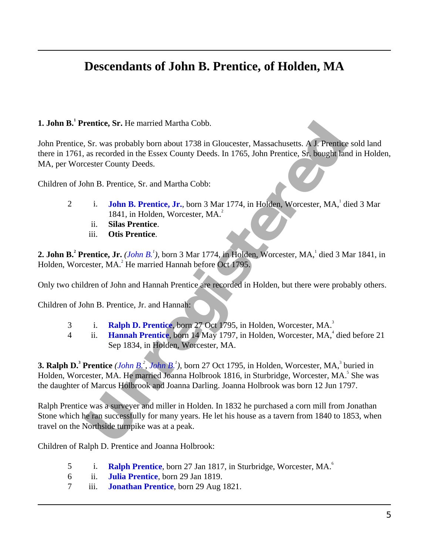#### **Descendants of John B. Prentice, of Holden, MA**

#### <span id="page-4-2"></span><span id="page-4-0"></span>**1. John B.<sup>1</sup> Prentice, Sr.** He married Martha Cobb.

John Prentice, Sr. was probably born about 1738 in Gloucester, Massachusetts. A J. Prentice sold land there in 1761, as recorded in the Essex County Deeds. In 1765, John Prentice, Sr. bought land in Holden, MA, per Worcester County Deeds.

<span id="page-4-8"></span>Children of John B. Prentice, Sr. and Martha Cobb:

- 2 i. **John B. Prentice, Jr.**, born 3 Mar 1774, in Holden, Worcester, MA, died 3 Mar 1841, in Holden, Worcester, MA. 2
	- ii. **Silas Prentice**.
	- iii. **Otis Prentice**.

<span id="page-4-7"></span><span id="page-4-1"></span>2. John B.<sup>2</sup> Prentice, Jr. *(John B.<sup>1</sup>)*, born 3 Mar 1774, in Holden, Worcester, MA, died 3 Mar 1841, in Holden, Worcester, MA.<sup>2</sup> He married Hannah before Oct 1795.

Only two children of John and Hannah Prentice are recorded in Holden, but there were probably others.

Children of John B. Prentice, Jr. and Hannah:

- 3 i. **Ralph D. Prentice**, born 27 Oct 1795, in Holden, Worcester, MA. 3
- 4 ii. **Hannah Prentice**, born 14 May 1797, in Holden, Worcester, MA,<sup>4</sup> died before 21 Sep 1834, in Holden, Worcester, MA.

<span id="page-4-4"></span>**EXECT:** SEE THE MANUAL MORE IN THE UNITED STATES WAS SERVERTED AND RESERVANCE SONE ASSOCIATE THE ESSEX COUNTY Deeds. I[n](#page-4-1) 1765, John P[r](#page-4-2)[e](#page-4-3)ntice SP. bought land in exacted in the Essex County Deeds. In 1765, John Prentice, SP. **3. Ralph D.<sup>3</sup> Prentice** (*John B.<sup>2</sup>, John B.<sup>1</sup>)*, born 27 Oct 1795, in Holden, Worcester, MA,<sup>3</sup> buried in Holden, Worcester, MA. He married Joanna Holbrook 1816, in Sturbridge, Worcester, MA.<sup>5</sup> She was the daughter of Marcus Holbrook and Joanna Darling. Joanna Holbrook was born 12 Jun 1797.

<span id="page-4-6"></span><span id="page-4-5"></span><span id="page-4-3"></span>Ralph Prentice was a surveyer and miller in Holden. In 1832 he purchased a corn mill from Jonathan Stone which he ran successfully for many years. He let his house as a tavern from 1840 to 1853, when travel on the Northside turnpike was at a peak.

Children of Ralph D. Prentice and Joanna Holbrook:

- 5 i. [Ralph Prentice](#page-5-1), born 27 Jan 1817, in Sturbridge, Worcester, MA.<sup>6</sup>
- 6 ii. **[Julia Prentice](#page-5-2)**, born 29 Jan 1819.
- 7 iii. **[Jonathan Prentice](#page-5-3)**, born 29 Aug 1821.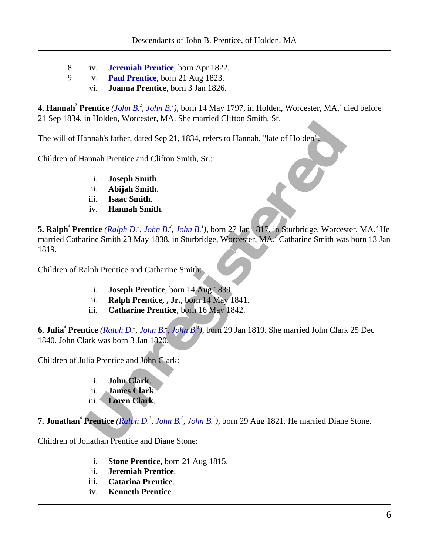- 8 iv. **[Jeremiah Prentice](#page-6-0)**, born Apr 1822.
- 9 v. **[Paul Prentice](#page-6-1)**, born 21 Aug 1823.
	- vi. **Joanna Prentice**, born 3 Jan 1826.

<span id="page-5-11"></span><span id="page-5-0"></span>**4. Hannah<sup>3</sup> Prentice** (*[John B.](#page-4-2)<sup>2</sup>, John B.<sup>1</sup>), born 14 May 1797, in Holden, Worcester, MA,<sup>4</sup> died before* 21 Sep 1834, in Holden, Worcester, MA. She married Clifton Smith, Sr.

The will of Hannah's father, dated Sep 21, 1834, refers to Hannah, "late of Holden".

<span id="page-5-21"></span><span id="page-5-20"></span><span id="page-5-19"></span><span id="page-5-16"></span>Children of Hannah Prentice and Clifton Smith, Sr.:

- i. **Joseph Smith**.
- ii. **Abijah Smith**.
- iii. **Isaac Smith**.
- iv. **Hannah Smith**.

<span id="page-5-18"></span>**Example Station (Example 2014)** 1834, refers to Hannah, "late of Holden"<br> **[U](#page-4-3)RBAN Station Smith.**<br> **U. Logical Station Smith.**<br> **U. Logical Smith.**<br> **U. Logical Smith.**<br> **U. Logical Smith.**<br> **U. Logical Smith.**<br> **5. Ralph<sup>4</sup> Prentice** (*Ralph D.<sup>3</sup>, John B.<sup>2</sup>, John B.<sup>1</sup>), born 27 Jan 1817, in Sturbridge, Worcester, MA.<sup>6</sup> He* married Catharine Smith 23 May 1838, in Sturbridge, Worcester, MA. 7 Catharine Smith was born 13 Jan 1819.

<span id="page-5-17"></span><span id="page-5-14"></span><span id="page-5-12"></span><span id="page-5-1"></span>Children of Ralph Prentice and Catharine Smith:

- i. **Joseph Prentice**, born 14 Aug 1839.
- ii. **Ralph Prentice, , Jr.**, born 14 May 1841.
- iii. **Catharine Prentice**, born 16 May 1842.

<span id="page-5-9"></span><span id="page-5-5"></span><span id="page-5-2"></span>**6. Julia<sup>4</sup> Prentice** *(Ralph D.<sup>3</sup> , John B.<sup>2</sup> , John B.<sup>1</sup> )*, born 29 Jan 1819. She married John Clark 25 Dec 1840. John Clark was born 3 Jan 1820.

<span id="page-5-6"></span><span id="page-5-4"></span>Children of Julia Prentice and John Clark:

- i. **John Clark**.
- ii. **James Clark**.
- iii. **Loren Clark**.

<span id="page-5-22"></span><span id="page-5-7"></span><span id="page-5-3"></span>**7. Jonathan<sup>4</sup> Prentice** (*Ralph D.<sup>3</sup>, John B.<sup>2</sup>, John B.<sup>1</sup>), born 29 Aug 1821. He married Diane Stone.* 

<span id="page-5-15"></span><span id="page-5-13"></span><span id="page-5-10"></span><span id="page-5-8"></span>Children of Jonathan Prentice and Diane Stone:

- i. **Stone Prentice**, born 21 Aug 1815.
- ii. **Jeremiah Prentice**.
- iii. **Catarina Prentice**.
- iv. **Kenneth Prentice**.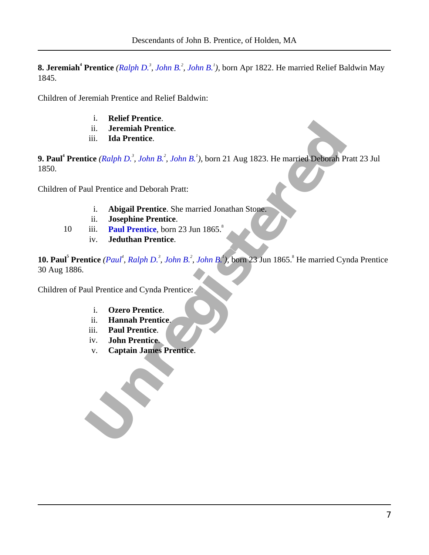<span id="page-6-3"></span><span id="page-6-0"></span>**8. Jeremiah<sup>4</sup> Prentice** *([Ralph D.](#page-4-3)<sup>3</sup> , [John B.](#page-4-1)<sup>2</sup> , [John B.](#page-4-2)<sup>1</sup> )*, born Apr 1822. He married Relief Baldwin May 1845.

<span id="page-6-16"></span>Children of Jeremiah Prentice and Relief Baldwin:

- i. **Relief Prentice**.
- ii. **Jeremiah Prentice**.
- iii. **Ida Prentice**.

<span id="page-6-4"></span><span id="page-6-1"></span>**9. Paul<sup>4</sup> Prentice** *(Ralph D.<sup>3</sup> , John B.<sup>2</sup> , John B.<sup>1</sup> )*, born 21 Aug 1823. He married Deborah Pratt 23 Jul 1850.

<span id="page-6-17"></span><span id="page-6-13"></span><span id="page-6-10"></span><span id="page-6-5"></span>Children of Paul Prentice and Deborah Pratt:

- i. **Abigail Prentice**. She married Jonathan Stone.
- ii. **Josephine Prentice**.
- 10 iii. **Paul Prentice**, born 23 Jun 1865.<sup>8</sup>
	- iv. **Jeduthan Prentice**.

<span id="page-6-11"></span><span id="page-6-9"></span>ii. **Ida Prentice.**<br>
iii. Ida Prentice.<br>
tie[s](#page-4-2) (Ralph D.<sup>2</sup>, John B.<sup>2</sup>, John B.<sup>2</sup>), born 21 Aug 1823. He married **Deborah** Pratt 2<br>
aul Prentice and Deborah Pratt:<br>
i. **Abigail Prentice.** She married Jonathan Stone.<br>
iii. **10. Paul<sup>5</sup> Prentice** (Paul<sup>4</sup>, Ralph D.<sup>3</sup>, John B.<sup>2</sup>, John B.<sup>1</sup>), born 23 Jun 1865.<sup>8</sup> He married Cynda Prentice 30 Aug 1886.

<span id="page-6-15"></span><span id="page-6-14"></span><span id="page-6-12"></span><span id="page-6-8"></span><span id="page-6-7"></span><span id="page-6-6"></span><span id="page-6-2"></span>Children of Paul Prentice and Cynda Prentice:

- i. **Ozero Prentice**.
- ii. **Hannah Prentice**.
- iii. **Paul Prentice**.
- iv. **John Prentice**.
- v. **Captain James Prentice**.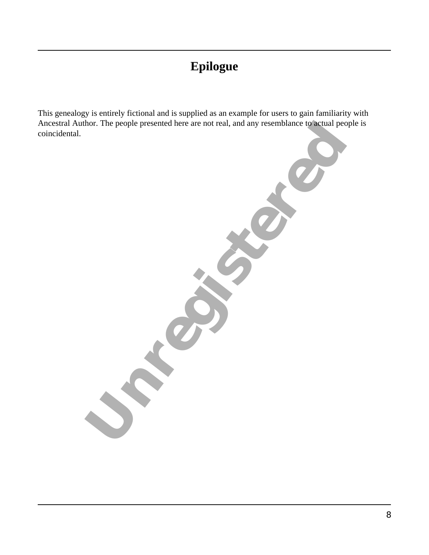## **Epilogue**

<span id="page-7-0"></span>This genealogy is entirely fictional and is supplied as an example for users to gain familiarity with Ancestral Author. The people presented here are not real, and any resemblance to actual people is coincidental.

The people presented here are not real, and any resemblance lowellance or<br>
and the people presented here are not real, and any resemblance is equal people :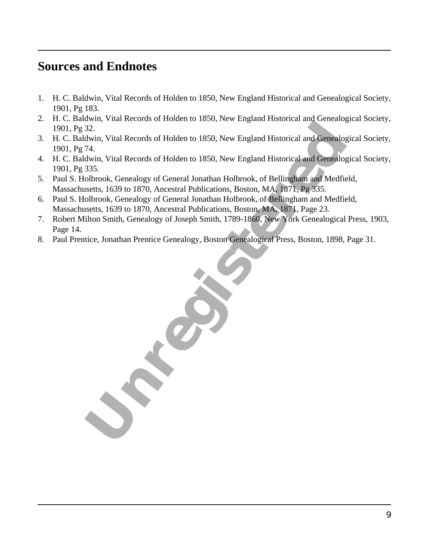#### <span id="page-8-0"></span>**Sources and Endnotes**

- 1. H. C. Baldwin, Vital Records of Holden to 1850, New England Historical and Genealogical Society, 1901, Pg 183.
- 2. H. C. Baldwin, Vital Records of Holden to 1850, New England Historical and Genealogical Society, 1901, Pg 32.
- 3. H. C. Baldwin, Vital Records of Holden to 1850, New England Historical and Genealogical Society, 1901, Pg 74.
- 4. H. C. Baldwin, Vital Records of Holden to 1850, New England Historical and Genealogical Society, 1901, Pg 335.
- 5. Paul S. Holbrook, Genealogy of General Jonathan Holbrook, of Bellingham and Medfield, Massachusetts, 1639 to 1870, Ancestral Publications, Boston, MA, 1871, Pg 335.
- 6. Paul S. Holbrook, Genealogy of General Jonathan Holbrook, of Bellingham and Medfield, Massachusetts, 1639 to 1870, Ancestral Publications, Boston, MA, 1871, Page 23.
- 7. Robert Milton Smith, Genealogy of Joseph Smith, 1789-1860, New York Genealogical Press, 1903, Page 14.
- 8. Paul Prentice, Jonathan Prentice Genealogy, Boston Genealogical Press, Boston, 1898, Page 31.